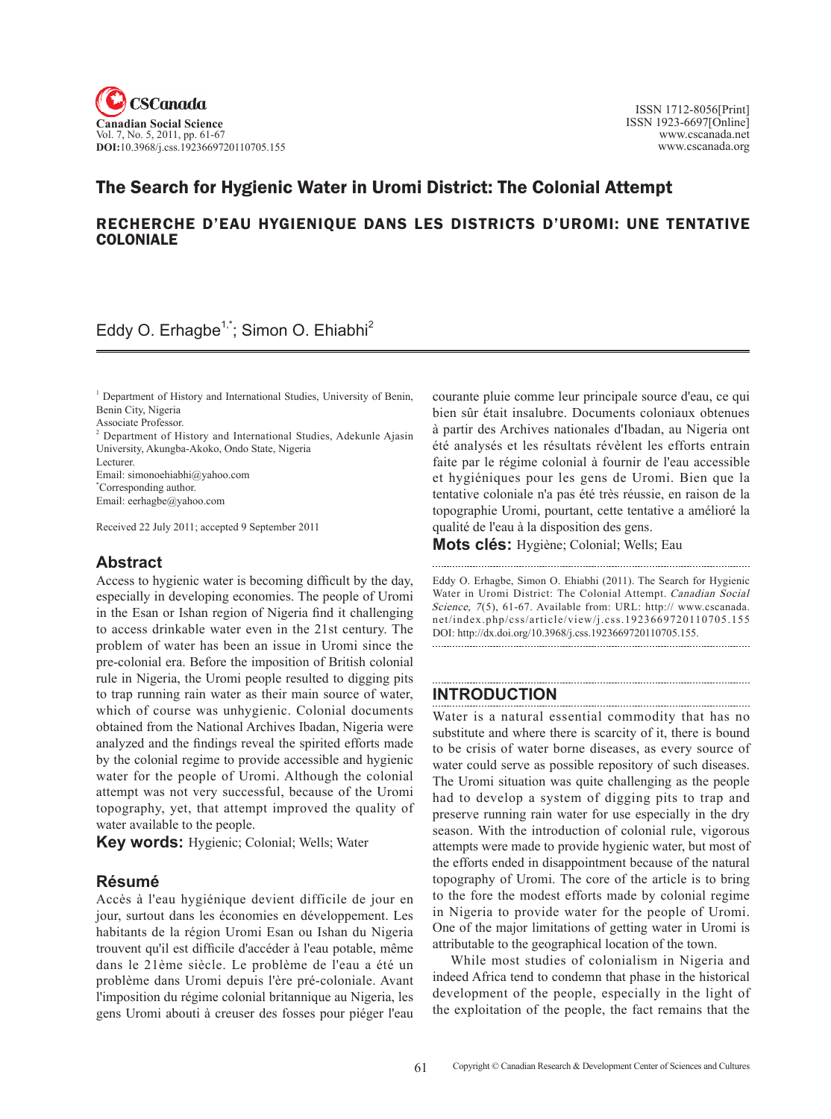

## The Search for Hygienic Water in Uromi District: The Colonial Attempt

### RECHERCHE D'EAU HYGIENIQUE DANS LES DISTRICTS D'UROMI: UNE TENTATIVE COLONIALE

### Eddy O. Erhagbe<sup>1,\*</sup>; Simon O. Ehiabhi<sup>2</sup>

<sup>1</sup> Department of History and International Studies, University of Benin, Benin City, Nigeria

Associate Professor.

<sup>2</sup> Department of History and International Studies, Adekunle Ajasin University, Akungba-Akoko, Ondo State, Nigeria

Lecturer. Email: simonoehiabhi@yahoo.com \* Corresponding author.

Email: eerhagbe@yahoo.com

Received 22 July 2011; accepted 9 September 2011

### **Abstract**

Access to hygienic water is becoming difficult by the day, especially in developing economies. The people of Uromi in the Esan or Ishan region of Nigeria find it challenging to access drinkable water even in the 21st century. The problem of water has been an issue in Uromi since the pre-colonial era. Before the imposition of British colonial rule in Nigeria, the Uromi people resulted to digging pits to trap running rain water as their main source of water, which of course was unhygienic. Colonial documents obtained from the National Archives Ibadan, Nigeria were analyzed and the findings reveal the spirited efforts made by the colonial regime to provide accessible and hygienic water for the people of Uromi. Although the colonial attempt was not very successful, because of the Uromi topography, yet, that attempt improved the quality of water available to the people.

**Key words:** Hygienic; Colonial; Wells; Water

### **Résumé**

Accès à l'eau hygiénique devient difficile de jour en jour, surtout dans les économies en développement. Les habitants de la région Uromi Esan ou Ishan du Nigeria trouvent qu'il est difficile d'accéder à l'eau potable, même dans le 21ème siècle. Le problème de l'eau a été un problème dans Uromi depuis l'ère pré-coloniale. Avant l'imposition du régime colonial britannique au Nigeria, les gens Uromi abouti à creuser des fosses pour piéger l'eau courante pluie comme leur principale source d'eau, ce qui bien sûr était insalubre. Documents coloniaux obtenues à partir des Archives nationales d'Ibadan, au Nigeria ont été analysés et les résultats révèlent les efforts entrain faite par le régime colonial à fournir de l'eau accessible et hygiéniques pour les gens de Uromi. Bien que la tentative coloniale n'a pas été très réussie, en raison de la topographie Uromi, pourtant, cette tentative a amélioré la qualité de l'eau à la disposition des gens.

**Mots clés:** Hygiène; Colonial; Wells; Eau

Eddy O. Erhagbe, Simon O. Ehiabhi (2011). The Search for Hygienic Water in Uromi District: The Colonial Attempt. Canadian Social Science, 7(5), 61-67. Available from: URL: http:// www.cscanada. net/index.php/css/article/view/j.css.1923669720110705.155 DOI: http://dx.doi.org/10.3968/j.css.1923669720110705.155.

### **Introduction**

Water is a natural essential commodity that has no substitute and where there is scarcity of it, there is bound to be crisis of water borne diseases, as every source of water could serve as possible repository of such diseases. The Uromi situation was quite challenging as the people had to develop a system of digging pits to trap and preserve running rain water for use especially in the dry season. With the introduction of colonial rule, vigorous attempts were made to provide hygienic water, but most of the efforts ended in disappointment because of the natural topography of Uromi. The core of the article is to bring to the fore the modest efforts made by colonial regime in Nigeria to provide water for the people of Uromi. One of the major limitations of getting water in Uromi is attributable to the geographical location of the town.

While most studies of colonialism in Nigeria and indeed Africa tend to condemn that phase in the historical development of the people, especially in the light of the exploitation of the people, the fact remains that the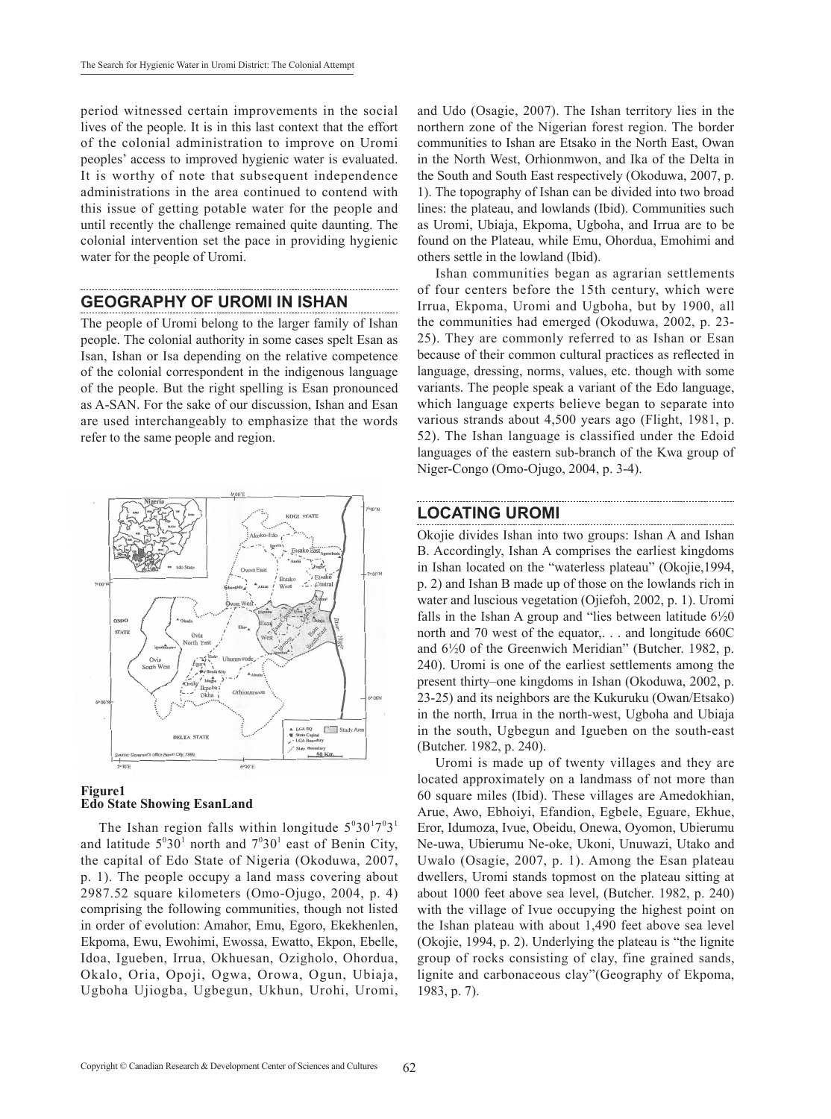period witnessed certain improvements in the social lives of the people. It is in this last context that the effort of the colonial administration to improve on Uromi peoples' access to improved hygienic water is evaluated. It is worthy of note that subsequent independence administrations in the area continued to contend with this issue of getting potable water for the people and until recently the challenge remained quite daunting. The colonial intervention set the pace in providing hygienic water for the people of Uromi.

### **GEOGRAPHY OF UROMI IN ISHAN**

The people of Uromi belong to the larger family of Ishan people. The colonial authority in some cases spelt Esan as Isan, Ishan or Isa depending on the relative competence of the colonial correspondent in the indigenous language of the people. But the right spelling is Esan pronounced as A-SAN. For the sake of our discussion, Ishan and Esan are used interchangeably to emphasize that the words refer to the same people and region.



#### **Figure1 Edo State Showing EsanLand**

The Ishan region falls within longitude  $5^030^17^03^1$ and latitude  $5^030^1$  north and  $7^030^1$  east of Benin City, the capital of Edo State of Nigeria (Okoduwa, 2007, p. 1). The people occupy a land mass covering about 2987.52 square kilometers (Omo-Ojugo, 2004, p. 4) comprising the following communities, though not listed in order of evolution: Amahor, Emu, Egoro, Ekekhenlen, Ekpoma, Ewu, Ewohimi, Ewossa, Ewatto, Ekpon, Ebelle, Idoa, Igueben, Irrua, Okhuesan, Ozigholo, Ohordua, Okalo, Oria, Opoji, Ogwa, Orowa, Ogun, Ubiaja, Ugboha Ujiogba, Ugbegun, Ukhun, Urohi, Uromi,

and Udo (Osagie, 2007). The Ishan territory lies in the northern zone of the Nigerian forest region. The border communities to Ishan are Etsako in the North East, Owan in the North West, Orhionmwon, and Ika of the Delta in the South and South East respectively (Okoduwa, 2007, p. 1). The topography of Ishan can be divided into two broad lines: the plateau, and lowlands (Ibid). Communities such as Uromi, Ubiaja, Ekpoma, Ugboha, and Irrua are to be found on the Plateau, while Emu, Ohordua, Emohimi and others settle in the lowland (Ibid).

Ishan communities began as agrarian settlements of four centers before the 15th century, which were Irrua, Ekpoma, Uromi and Ugboha, but by 1900, all the communities had emerged (Okoduwa, 2002, p. 23- 25). They are commonly referred to as Ishan or Esan because of their common cultural practices as reflected in language, dressing, norms, values, etc. though with some variants. The people speak a variant of the Edo language, which language experts believe began to separate into various strands about 4,500 years ago (Flight, 1981, p. 52). The Ishan language is classified under the Edoid languages of the eastern sub-branch of the Kwa group of Niger-Congo (Omo-Ojugo, 2004, p. 3-4).

### **LOCATING UROMI**

Okojie divides Ishan into two groups: Ishan A and Ishan B. Accordingly, Ishan A comprises the earliest kingdoms in Ishan located on the "waterless plateau" (Okojie,1994, p. 2) and Ishan B made up of those on the lowlands rich in water and luscious vegetation (Ojiefoh, 2002, p. 1). Uromi falls in the Ishan A group and "lies between latitude  $6\frac{1}{2}0$ north and 70 west of the equator,. . . and longitude 660C and 6½0 of the Greenwich Meridian" (Butcher. 1982, p. 240). Uromi is one of the earliest settlements among the present thirty–one kingdoms in Ishan (Okoduwa, 2002, p. 23-25) and its neighbors are the Kukuruku (Owan/Etsako) in the north, Irrua in the north-west, Ugboha and Ubiaja in the south, Ugbegun and Igueben on the south-east (Butcher. 1982, p. 240).

Uromi is made up of twenty villages and they are located approximately on a landmass of not more than 60 square miles (Ibid). These villages are Amedokhian, Arue, Awo, Ebhoiyi, Efandion, Egbele, Eguare, Ekhue, Eror, Idumoza, Ivue, Obeidu, Onewa, Oyomon, Ubierumu Ne-uwa, Ubierumu Ne-oke, Ukoni, Unuwazi, Utako and Uwalo (Osagie, 2007, p. 1). Among the Esan plateau dwellers, Uromi stands topmost on the plateau sitting at about 1000 feet above sea level, (Butcher. 1982, p. 240) with the village of Ivue occupying the highest point on the Ishan plateau with about 1,490 feet above sea level (Okojie, 1994, p. 2). Underlying the plateau is "the lignite group of rocks consisting of clay, fine grained sands, lignite and carbonaceous clay"(Geography of Ekpoma, 1983, p. 7).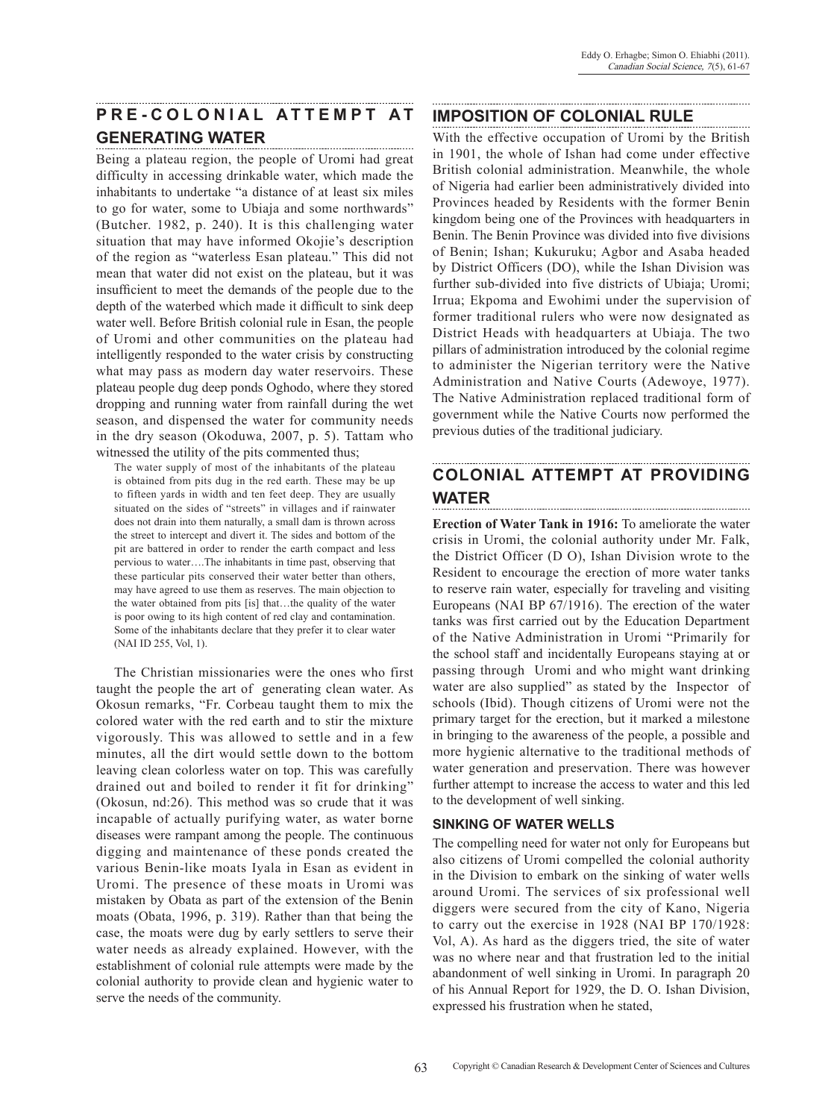# **PRE-CO L ONIA L A T T E M P T A T GENERATING WATER**

Being a plateau region, the people of Uromi had great difficulty in accessing drinkable water, which made the inhabitants to undertake "a distance of at least six miles to go for water, some to Ubiaja and some northwards" (Butcher. 1982, p. 240). It is this challenging water situation that may have informed Okojie's description of the region as "waterless Esan plateau." This did not mean that water did not exist on the plateau, but it was insufficient to meet the demands of the people due to the depth of the waterbed which made it difficult to sink deep water well. Before British colonial rule in Esan, the people of Uromi and other communities on the plateau had intelligently responded to the water crisis by constructing what may pass as modern day water reservoirs. These plateau people dug deep ponds Oghodo, where they stored dropping and running water from rainfall during the wet season, and dispensed the water for community needs in the dry season (Okoduwa, 2007, p. 5). Tattam who witnessed the utility of the pits commented thus;

The water supply of most of the inhabitants of the plateau is obtained from pits dug in the red earth. These may be up to fifteen yards in width and ten feet deep. They are usually situated on the sides of "streets" in villages and if rainwater does not drain into them naturally, a small dam is thrown across the street to intercept and divert it. The sides and bottom of the pit are battered in order to render the earth compact and less pervious to water….The inhabitants in time past, observing that these particular pits conserved their water better than others, may have agreed to use them as reserves. The main objection to the water obtained from pits [is] that…the quality of the water is poor owing to its high content of red clay and contamination. Some of the inhabitants declare that they prefer it to clear water (NAI ID 255, Vol, 1).

The Christian missionaries were the ones who first taught the people the art of generating clean water. As Okosun remarks, "Fr. Corbeau taught them to mix the colored water with the red earth and to stir the mixture vigorously. This was allowed to settle and in a few minutes, all the dirt would settle down to the bottom leaving clean colorless water on top. This was carefully drained out and boiled to render it fit for drinking" (Okosun, nd:26). This method was so crude that it was incapable of actually purifying water, as water borne diseases were rampant among the people. The continuous digging and maintenance of these ponds created the various Benin-like moats Iyala in Esan as evident in Uromi. The presence of these moats in Uromi was mistaken by Obata as part of the extension of the Benin moats (Obata, 1996, p. 319). Rather than that being the case, the moats were dug by early settlers to serve their water needs as already explained. However, with the establishment of colonial rule attempts were made by the colonial authority to provide clean and hygienic water to serve the needs of the community.

## **IMPOSITION OF COLONIAL RULE**

With the effective occupation of Uromi by the British in 1901, the whole of Ishan had come under effective British colonial administration. Meanwhile, the whole of Nigeria had earlier been administratively divided into Provinces headed by Residents with the former Benin kingdom being one of the Provinces with headquarters in Benin. The Benin Province was divided into five divisions of Benin; Ishan; Kukuruku; Agbor and Asaba headed by District Officers (DO), while the Ishan Division was further sub-divided into five districts of Ubiaja; Uromi; Irrua; Ekpoma and Ewohimi under the supervision of former traditional rulers who were now designated as District Heads with headquarters at Ubiaja. The two pillars of administration introduced by the colonial regime to administer the Nigerian territory were the Native Administration and Native Courts (Adewoye, 1977). The Native Administration replaced traditional form of government while the Native Courts now performed the previous duties of the traditional judiciary.

# **COLONIAL ATTEMPT AT PROVIDING WATER**

**Erection of Water Tank in 1916:** To ameliorate the water crisis in Uromi, the colonial authority under Mr. Falk, the District Officer (D O), Ishan Division wrote to the Resident to encourage the erection of more water tanks to reserve rain water, especially for traveling and visiting Europeans (NAI BP 67/1916). The erection of the water tanks was first carried out by the Education Department of the Native Administration in Uromi "Primarily for the school staff and incidentally Europeans staying at or passing through Uromi and who might want drinking water are also supplied" as stated by the Inspector of schools (Ibid). Though citizens of Uromi were not the primary target for the erection, but it marked a milestone in bringing to the awareness of the people, a possible and more hygienic alternative to the traditional methods of water generation and preservation. There was however further attempt to increase the access to water and this led to the development of well sinking.

### **SINKING OF WATER WELLS**

The compelling need for water not only for Europeans but also citizens of Uromi compelled the colonial authority in the Division to embark on the sinking of water wells around Uromi. The services of six professional well diggers were secured from the city of Kano, Nigeria to carry out the exercise in 1928 (NAI BP 170/1928: Vol, A). As hard as the diggers tried, the site of water was no where near and that frustration led to the initial abandonment of well sinking in Uromi. In paragraph 20 of his Annual Report for 1929, the D. O. Ishan Division, expressed his frustration when he stated,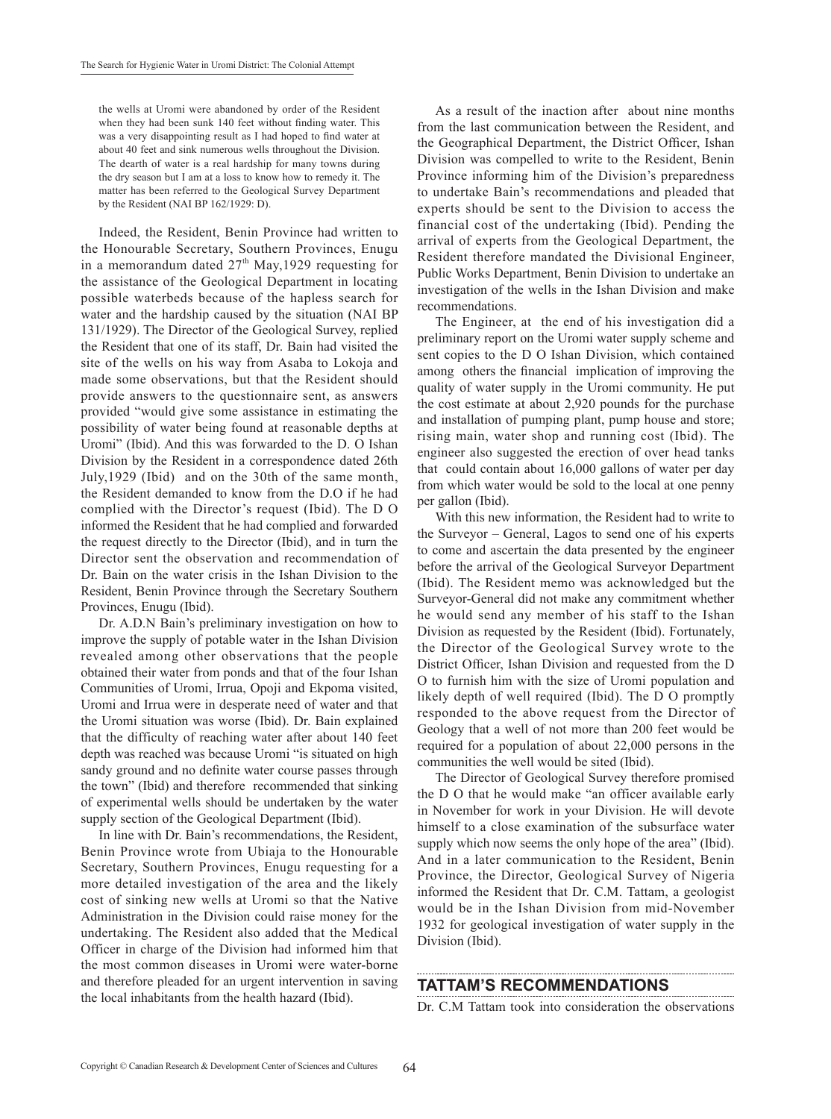the wells at Uromi were abandoned by order of the Resident when they had been sunk 140 feet without finding water. This was a very disappointing result as I had hoped to find water at about 40 feet and sink numerous wells throughout the Division. The dearth of water is a real hardship for many towns during the dry season but I am at a loss to know how to remedy it. The matter has been referred to the Geological Survey Department by the Resident (NAI BP 162/1929: D).

Indeed, the Resident, Benin Province had written to the Honourable Secretary, Southern Provinces, Enugu in a memorandum dated  $27<sup>th</sup>$  May, 1929 requesting for the assistance of the Geological Department in locating possible waterbeds because of the hapless search for water and the hardship caused by the situation (NAI BP 131/1929). The Director of the Geological Survey, replied the Resident that one of its staff, Dr. Bain had visited the site of the wells on his way from Asaba to Lokoja and made some observations, but that the Resident should provide answers to the questionnaire sent, as answers provided "would give some assistance in estimating the possibility of water being found at reasonable depths at Uromi" (Ibid). And this was forwarded to the D. O Ishan Division by the Resident in a correspondence dated 26th July,1929 (Ibid) and on the 30th of the same month, the Resident demanded to know from the D.O if he had complied with the Director's request (Ibid). The D O informed the Resident that he had complied and forwarded the request directly to the Director (Ibid), and in turn the Director sent the observation and recommendation of Dr. Bain on the water crisis in the Ishan Division to the Resident, Benin Province through the Secretary Southern Provinces, Enugu (Ibid).

Dr. A.D.N Bain's preliminary investigation on how to improve the supply of potable water in the Ishan Division revealed among other observations that the people obtained their water from ponds and that of the four Ishan Communities of Uromi, Irrua, Opoji and Ekpoma visited, Uromi and Irrua were in desperate need of water and that the Uromi situation was worse (Ibid). Dr. Bain explained that the difficulty of reaching water after about 140 feet depth was reached was because Uromi "is situated on high sandy ground and no definite water course passes through the town" (Ibid) and therefore recommended that sinking of experimental wells should be undertaken by the water supply section of the Geological Department (Ibid).

In line with Dr. Bain's recommendations, the Resident, Benin Province wrote from Ubiaja to the Honourable Secretary, Southern Provinces, Enugu requesting for a more detailed investigation of the area and the likely cost of sinking new wells at Uromi so that the Native Administration in the Division could raise money for the undertaking. The Resident also added that the Medical Officer in charge of the Division had informed him that the most common diseases in Uromi were water-borne and therefore pleaded for an urgent intervention in saving the local inhabitants from the health hazard (Ibid).

As a result of the inaction after about nine months from the last communication between the Resident, and the Geographical Department, the District Officer, Ishan Division was compelled to write to the Resident, Benin Province informing him of the Division's preparedness to undertake Bain's recommendations and pleaded that experts should be sent to the Division to access the financial cost of the undertaking (Ibid). Pending the arrival of experts from the Geological Department, the Resident therefore mandated the Divisional Engineer, Public Works Department, Benin Division to undertake an investigation of the wells in the Ishan Division and make recommendations.

The Engineer, at the end of his investigation did a preliminary report on the Uromi water supply scheme and sent copies to the D O Ishan Division, which contained among others the financial implication of improving the quality of water supply in the Uromi community. He put the cost estimate at about 2,920 pounds for the purchase and installation of pumping plant, pump house and store; rising main, water shop and running cost (Ibid). The engineer also suggested the erection of over head tanks that could contain about 16,000 gallons of water per day from which water would be sold to the local at one penny per gallon (Ibid).

With this new information, the Resident had to write to the Surveyor – General, Lagos to send one of his experts to come and ascertain the data presented by the engineer before the arrival of the Geological Surveyor Department (Ibid). The Resident memo was acknowledged but the Surveyor-General did not make any commitment whether he would send any member of his staff to the Ishan Division as requested by the Resident (Ibid). Fortunately, the Director of the Geological Survey wrote to the District Officer, Ishan Division and requested from the D O to furnish him with the size of Uromi population and likely depth of well required (Ibid). The D O promptly responded to the above request from the Director of Geology that a well of not more than 200 feet would be required for a population of about 22,000 persons in the communities the well would be sited (Ibid).

The Director of Geological Survey therefore promised the D O that he would make "an officer available early in November for work in your Division. He will devote himself to a close examination of the subsurface water supply which now seems the only hope of the area" (Ibid). And in a later communication to the Resident, Benin Province, the Director, Geological Survey of Nigeria informed the Resident that Dr. C.M. Tattam, a geologist would be in the Ishan Division from mid-November 1932 for geological investigation of water supply in the Division (Ibid).

### **TATTAM'S RECOMMENDATIONS**

Dr. C.M Tattam took into consideration the observations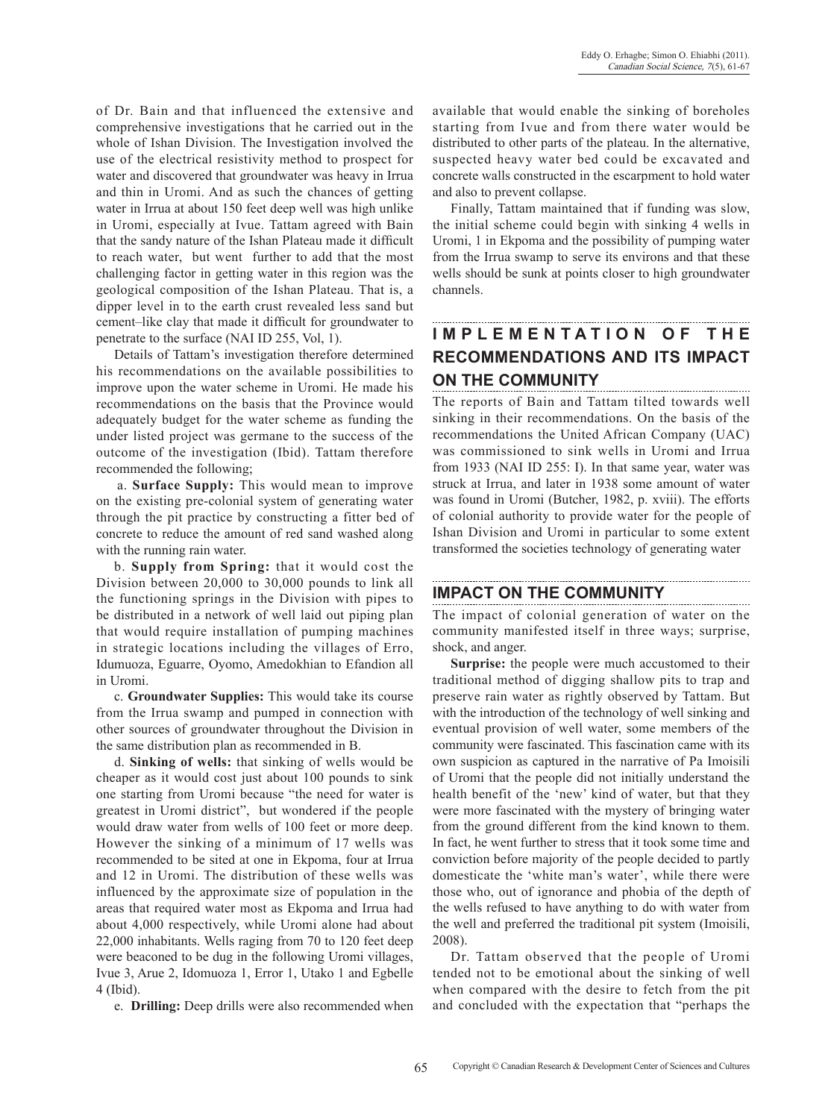of Dr. Bain and that influenced the extensive and comprehensive investigations that he carried out in the whole of Ishan Division. The Investigation involved the use of the electrical resistivity method to prospect for water and discovered that groundwater was heavy in Irrua and thin in Uromi. And as such the chances of getting water in Irrua at about 150 feet deep well was high unlike in Uromi, especially at Ivue. Tattam agreed with Bain that the sandy nature of the Ishan Plateau made it difficult to reach water, but went further to add that the most challenging factor in getting water in this region was the geological composition of the Ishan Plateau. That is, a dipper level in to the earth crust revealed less sand but cement–like clay that made it difficult for groundwater to penetrate to the surface (NAI ID 255, Vol, 1).

Details of Tattam's investigation therefore determined his recommendations on the available possibilities to improve upon the water scheme in Uromi. He made his recommendations on the basis that the Province would adequately budget for the water scheme as funding the under listed project was germane to the success of the outcome of the investigation (Ibid). Tattam therefore recommended the following;

a. **Surface Supply:** This would mean to improve on the existing pre-colonial system of generating water through the pit practice by constructing a fitter bed of concrete to reduce the amount of red sand washed along with the running rain water.

b. **Supply from Spring:** that it would cost the Division between 20,000 to 30,000 pounds to link all the functioning springs in the Division with pipes to be distributed in a network of well laid out piping plan that would require installation of pumping machines in strategic locations including the villages of Erro, Idumuoza, Eguarre, Oyomo, Amedokhian to Efandion all in Uromi.

c. **Groundwater Supplies:** This would take its course from the Irrua swamp and pumped in connection with other sources of groundwater throughout the Division in the same distribution plan as recommended in B.

d. **Sinking of wells:** that sinking of wells would be cheaper as it would cost just about 100 pounds to sink one starting from Uromi because "the need for water is greatest in Uromi district", but wondered if the people would draw water from wells of 100 feet or more deep. However the sinking of a minimum of 17 wells was recommended to be sited at one in Ekpoma, four at Irrua and 12 in Uromi. The distribution of these wells was influenced by the approximate size of population in the areas that required water most as Ekpoma and Irrua had about 4,000 respectively, while Uromi alone had about 22,000 inhabitants. Wells raging from 70 to 120 feet deep were beaconed to be dug in the following Uromi villages, Ivue 3, Arue 2, Idomuoza 1, Error 1, Utako 1 and Egbelle 4 (Ibid).

e. **Drilling:** Deep drills were also recommended when

available that would enable the sinking of boreholes starting from Ivue and from there water would be distributed to other parts of the plateau. In the alternative, suspected heavy water bed could be excavated and concrete walls constructed in the escarpment to hold water and also to prevent collapse.

Finally, Tattam maintained that if funding was slow, the initial scheme could begin with sinking 4 wells in Uromi, 1 in Ekpoma and the possibility of pumping water from the Irrua swamp to serve its environs and that these wells should be sunk at points closer to high groundwater channels.

# **IMPLEMENTATION OF THE RECOMMENDATIONS AND ITS IMPACT ON THE COMMUNITY**

The reports of Bain and Tattam tilted towards well sinking in their recommendations. On the basis of the recommendations the United African Company (UAC) was commissioned to sink wells in Uromi and Irrua from 1933 (NAI ID 255: I). In that same year, water was struck at Irrua, and later in 1938 some amount of water was found in Uromi (Butcher, 1982, p. xviii). The efforts of colonial authority to provide water for the people of Ishan Division and Uromi in particular to some extent transformed the societies technology of generating water

### **IMPACT ON THE COMMUNITY**

The impact of colonial generation of water on the community manifested itself in three ways; surprise, shock, and anger.

**Surprise:** the people were much accustomed to their traditional method of digging shallow pits to trap and preserve rain water as rightly observed by Tattam. But with the introduction of the technology of well sinking and eventual provision of well water, some members of the community were fascinated. This fascination came with its own suspicion as captured in the narrative of Pa Imoisili of Uromi that the people did not initially understand the health benefit of the 'new' kind of water, but that they were more fascinated with the mystery of bringing water from the ground different from the kind known to them. In fact, he went further to stress that it took some time and conviction before majority of the people decided to partly domesticate the 'white man's water', while there were those who, out of ignorance and phobia of the depth of the wells refused to have anything to do with water from the well and preferred the traditional pit system (Imoisili, 2008).

Dr. Tattam observed that the people of Uromi tended not to be emotional about the sinking of well when compared with the desire to fetch from the pit and concluded with the expectation that "perhaps the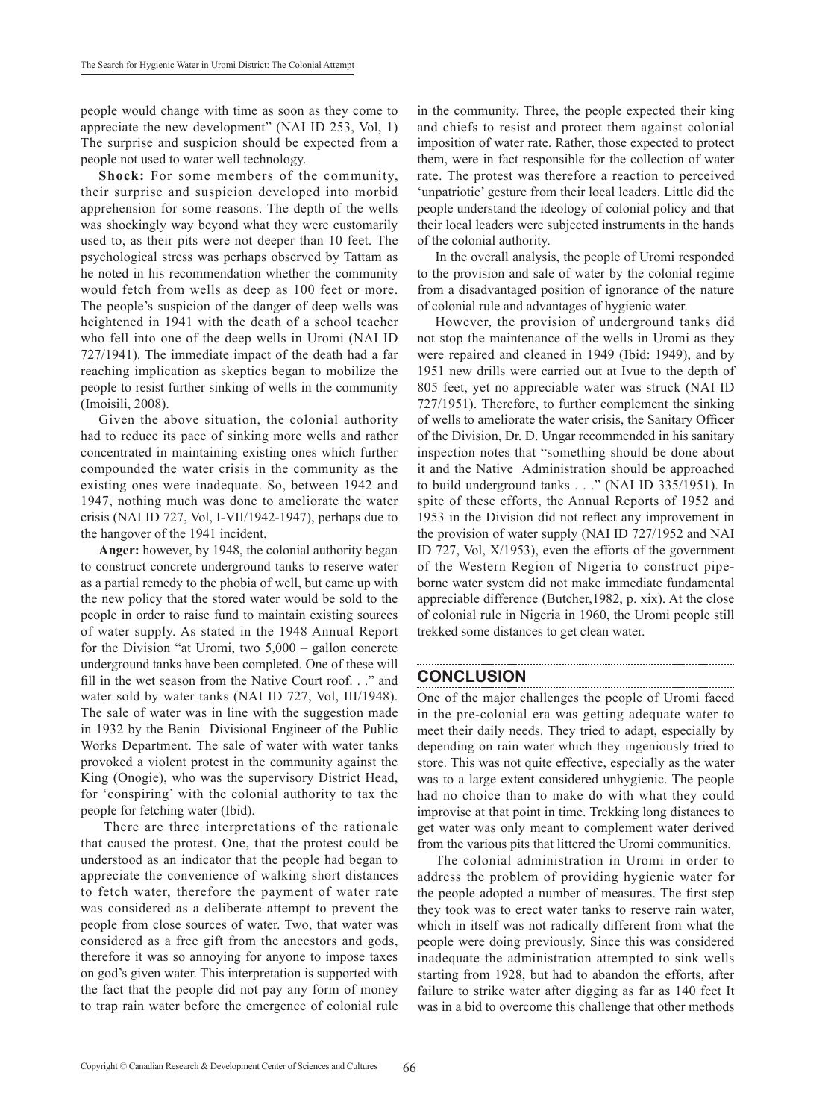people would change with time as soon as they come to appreciate the new development" (NAI ID 253, Vol, 1) The surprise and suspicion should be expected from a people not used to water well technology.

**Shock:** For some members of the community, their surprise and suspicion developed into morbid apprehension for some reasons. The depth of the wells was shockingly way beyond what they were customarily used to, as their pits were not deeper than 10 feet. The psychological stress was perhaps observed by Tattam as he noted in his recommendation whether the community would fetch from wells as deep as 100 feet or more. The people's suspicion of the danger of deep wells was heightened in 1941 with the death of a school teacher who fell into one of the deep wells in Uromi (NAI ID 727/1941). The immediate impact of the death had a far reaching implication as skeptics began to mobilize the people to resist further sinking of wells in the community (Imoisili, 2008).

Given the above situation, the colonial authority had to reduce its pace of sinking more wells and rather concentrated in maintaining existing ones which further compounded the water crisis in the community as the existing ones were inadequate. So, between 1942 and 1947, nothing much was done to ameliorate the water crisis (NAI ID 727, Vol, I-VII/1942-1947), perhaps due to the hangover of the 1941 incident.

**Anger:** however, by 1948, the colonial authority began to construct concrete underground tanks to reserve water as a partial remedy to the phobia of well, but came up with the new policy that the stored water would be sold to the people in order to raise fund to maintain existing sources of water supply. As stated in the 1948 Annual Report for the Division "at Uromi, two 5,000 – gallon concrete underground tanks have been completed. One of these will fill in the wet season from the Native Court roof. . ." and water sold by water tanks (NAI ID 727, Vol, III/1948). The sale of water was in line with the suggestion made in 1932 by the Benin Divisional Engineer of the Public Works Department. The sale of water with water tanks provoked a violent protest in the community against the King (Onogie), who was the supervisory District Head, for 'conspiring' with the colonial authority to tax the people for fetching water (Ibid).

 There are three interpretations of the rationale that caused the protest. One, that the protest could be understood as an indicator that the people had began to appreciate the convenience of walking short distances to fetch water, therefore the payment of water rate was considered as a deliberate attempt to prevent the people from close sources of water. Two, that water was considered as a free gift from the ancestors and gods, therefore it was so annoying for anyone to impose taxes on god's given water. This interpretation is supported with the fact that the people did not pay any form of money to trap rain water before the emergence of colonial rule in the community. Three, the people expected their king and chiefs to resist and protect them against colonial imposition of water rate. Rather, those expected to protect them, were in fact responsible for the collection of water rate. The protest was therefore a reaction to perceived 'unpatriotic' gesture from their local leaders. Little did the people understand the ideology of colonial policy and that their local leaders were subjected instruments in the hands of the colonial authority.

In the overall analysis, the people of Uromi responded to the provision and sale of water by the colonial regime from a disadvantaged position of ignorance of the nature of colonial rule and advantages of hygienic water.

However, the provision of underground tanks did not stop the maintenance of the wells in Uromi as they were repaired and cleaned in 1949 (Ibid: 1949), and by 1951 new drills were carried out at Ivue to the depth of 805 feet, yet no appreciable water was struck (NAI ID 727/1951). Therefore, to further complement the sinking of wells to ameliorate the water crisis, the Sanitary Officer of the Division, Dr. D. Ungar recommended in his sanitary inspection notes that "something should be done about it and the Native Administration should be approached to build underground tanks . . ." (NAI ID 335/1951). In spite of these efforts, the Annual Reports of 1952 and 1953 in the Division did not reflect any improvement in the provision of water supply (NAI ID 727/1952 and NAI ID 727, Vol, X/1953), even the efforts of the government of the Western Region of Nigeria to construct pipeborne water system did not make immediate fundamental appreciable difference (Butcher,1982, p. xix). At the close of colonial rule in Nigeria in 1960, the Uromi people still trekked some distances to get clean water.

### **CONCLUSION**

One of the major challenges the people of Uromi faced in the pre-colonial era was getting adequate water to meet their daily needs. They tried to adapt, especially by depending on rain water which they ingeniously tried to store. This was not quite effective, especially as the water was to a large extent considered unhygienic. The people had no choice than to make do with what they could improvise at that point in time. Trekking long distances to get water was only meant to complement water derived from the various pits that littered the Uromi communities.

The colonial administration in Uromi in order to address the problem of providing hygienic water for the people adopted a number of measures. The first step they took was to erect water tanks to reserve rain water, which in itself was not radically different from what the people were doing previously. Since this was considered inadequate the administration attempted to sink wells starting from 1928, but had to abandon the efforts, after failure to strike water after digging as far as 140 feet It was in a bid to overcome this challenge that other methods